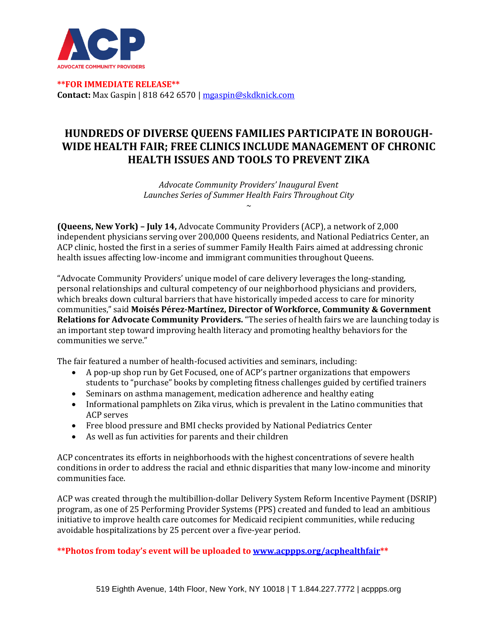

**\*\*FOR IMMEDIATE RELEASE\*\* Contact:** Max Gaspin | 818 642 6570 [| mgaspin@skdknick.com](mailto:mgaspin@skdknick.com)

## **HUNDREDS OF DIVERSE QUEENS FAMILIES PARTICIPATE IN BOROUGH-WIDE HEALTH FAIR; FREE CLINICS INCLUDE MANAGEMENT OF CHRONIC HEALTH ISSUES AND TOOLS TO PREVENT ZIKA**

*Advocate Community Providers' Inaugural Event Launches Series of Summer Health Fairs Throughout City ~*

**(Queens, New York) – July 14,** Advocate Community Providers (ACP), a network of 2,000 independent physicians serving over 200,000 Queens residents, and National Pediatrics Center, an ACP clinic, hosted the first in a series of summer Family Health Fairs aimed at addressing chronic health issues affecting low-income and immigrant communities throughout Queens.

"Advocate Community Providers' unique model of care delivery leverages the long-standing, personal relationships and cultural competency of our neighborhood physicians and providers, which breaks down cultural barriers that have historically impeded access to care for minority communities," said **Moisés Pérez-Martínez, Director of Workforce, Community & Government Relations for Advocate Community Providers.** "The series of health fairs we are launching today is an important step toward improving health literacy and promoting healthy behaviors for the communities we serve."

The fair featured a number of health-focused activities and seminars, including:

- A pop-up shop run by Get Focused, one of ACP's partner organizations that empowers students to "purchase" books by completing fitness challenges guided by certified trainers
- Seminars on asthma management, medication adherence and healthy eating
- Informational pamphlets on Zika virus, which is prevalent in the Latino communities that ACP serves
- Free blood pressure and BMI checks provided by National Pediatrics Center
- As well as fun activities for parents and their children

ACP concentrates its efforts in neighborhoods with the highest concentrations of severe health conditions in order to address the racial and ethnic disparities that many low-income and minority communities face.

ACP was created through the multibillion-dollar Delivery System Reform Incentive Payment (DSRIP) program, as one of 25 Performing Provider Systems (PPS) created and funded to lead an ambitious initiative to improve health care outcomes for Medicaid recipient communities, while reducing avoidable hospitalizations by 25 percent over a five-year period.

**\*\*Photos from today's event will be uploaded to [www.acppps.org/acphealthfair\\*](http://www.acppps.org/acphealthfair)\***